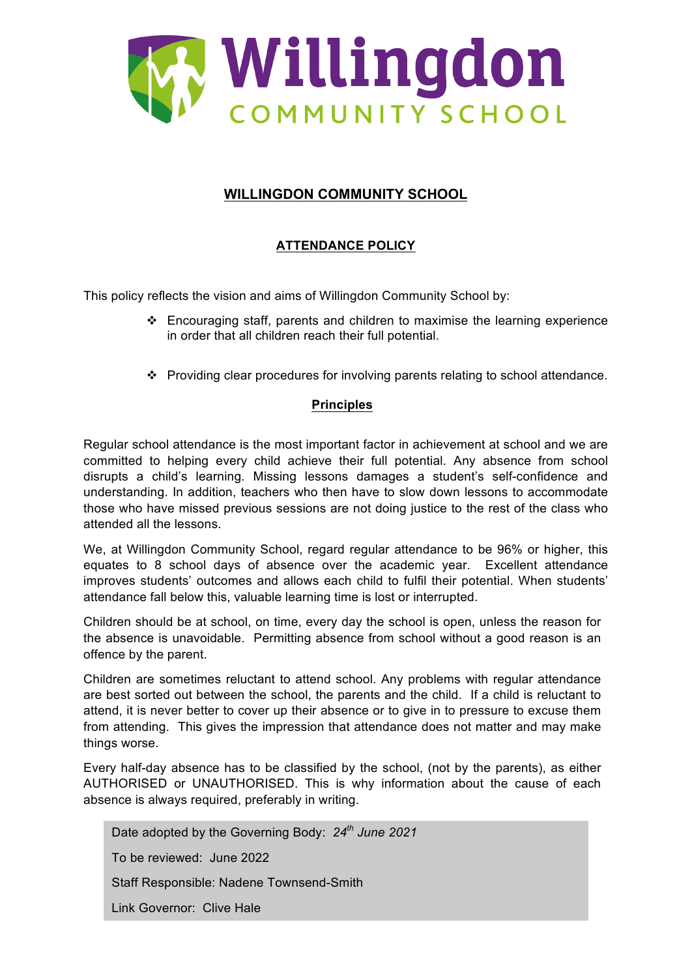

## **WILLINGDON COMMUNITY SCHOOL**

## **ATTENDANCE POLICY**

This policy reflects the vision and aims of Willingdon Community School by:

- $\div$  Encouraging staff, parents and children to maximise the learning experience in order that all children reach their full potential.
- \* Providing clear procedures for involving parents relating to school attendance.

#### **Principles**

Regular school attendance is the most important factor in achievement at school and we are committed to helping every child achieve their full potential. Any absence from school disrupts a child's learning. Missing lessons damages a student's self-confidence and understanding. In addition, teachers who then have to slow down lessons to accommodate those who have missed previous sessions are not doing justice to the rest of the class who attended all the lessons.

We, at Willingdon Community School, regard regular attendance to be 96% or higher, this equates to 8 school days of absence over the academic year. Excellent attendance improves students' outcomes and allows each child to fulfil their potential. When students' attendance fall below this, valuable learning time is lost or interrupted.

Children should be at school, on time, every day the school is open, unless the reason for the absence is unavoidable. Permitting absence from school without a good reason is an offence by the parent.

Children are sometimes reluctant to attend school. Any problems with regular attendance are best sorted out between the school, the parents and the child. If a child is reluctant to attend, it is never better to cover up their absence or to give in to pressure to excuse them from attending. This gives the impression that attendance does not matter and may make things worse.

Every half-day absence has to be classified by the school, (not by the parents), as either AUTHORISED or UNAUTHORISED. This is why information about the cause of each absence is always required, preferably in writing.

Date adopted by the Governing Body: *24th June 2021* To be reviewed: June 2022 Staff Responsible: Nadene Townsend-Smith Link Governor: Clive Hale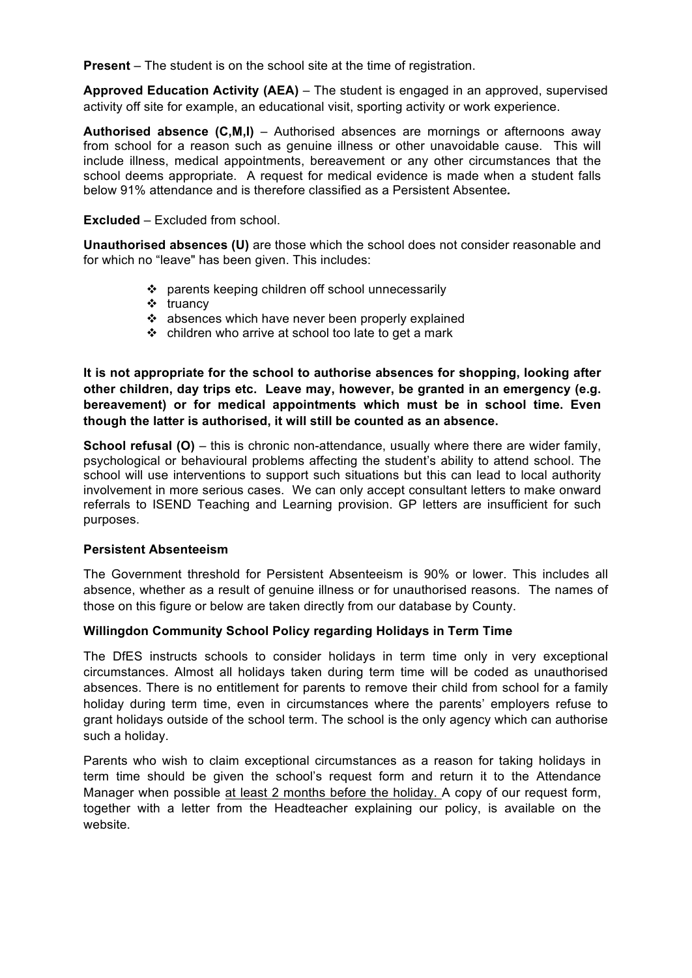**Present** – The student is on the school site at the time of registration.

**Approved Education Activity (AEA)** – The student is engaged in an approved, supervised activity off site for example, an educational visit, sporting activity or work experience.

**Authorised absence (C,M,I)** – Authorised absences are mornings or afternoons away from school for a reason such as genuine illness or other unavoidable cause. This will include illness, medical appointments, bereavement or any other circumstances that the school deems appropriate. A request for medical evidence is made when a student falls below 91% attendance and is therefore classified as a Persistent Absentee*.* 

**Excluded** – Excluded from school.

**Unauthorised absences (U)** are those which the school does not consider reasonable and for which no "leave" has been given. This includes:

- ! parents keeping children off school unnecessarily
- $\div$  truancy
- $\div$  absences which have never been properly explained
- $\div$  children who arrive at school too late to get a mark

**It is not appropriate for the school to authorise absences for shopping, looking after other children, day trips etc. Leave may, however, be granted in an emergency (e.g. bereavement) or for medical appointments which must be in school time. Even though the latter is authorised, it will still be counted as an absence.**

**School refusal (O)** – this is chronic non-attendance, usually where there are wider family, psychological or behavioural problems affecting the student's ability to attend school. The school will use interventions to support such situations but this can lead to local authority involvement in more serious cases. We can only accept consultant letters to make onward referrals to ISEND Teaching and Learning provision. GP letters are insufficient for such purposes.

#### **Persistent Absenteeism**

The Government threshold for Persistent Absenteeism is 90% or lower. This includes all absence, whether as a result of genuine illness or for unauthorised reasons. The names of those on this figure or below are taken directly from our database by County.

#### **Willingdon Community School Policy regarding Holidays in Term Time**

The DfES instructs schools to consider holidays in term time only in very exceptional circumstances. Almost all holidays taken during term time will be coded as unauthorised absences. There is no entitlement for parents to remove their child from school for a family holiday during term time, even in circumstances where the parents' employers refuse to grant holidays outside of the school term. The school is the only agency which can authorise such a holiday.

Parents who wish to claim exceptional circumstances as a reason for taking holidays in term time should be given the school's request form and return it to the Attendance Manager when possible at least 2 months before the holiday. A copy of our request form, together with a letter from the Headteacher explaining our policy, is available on the website.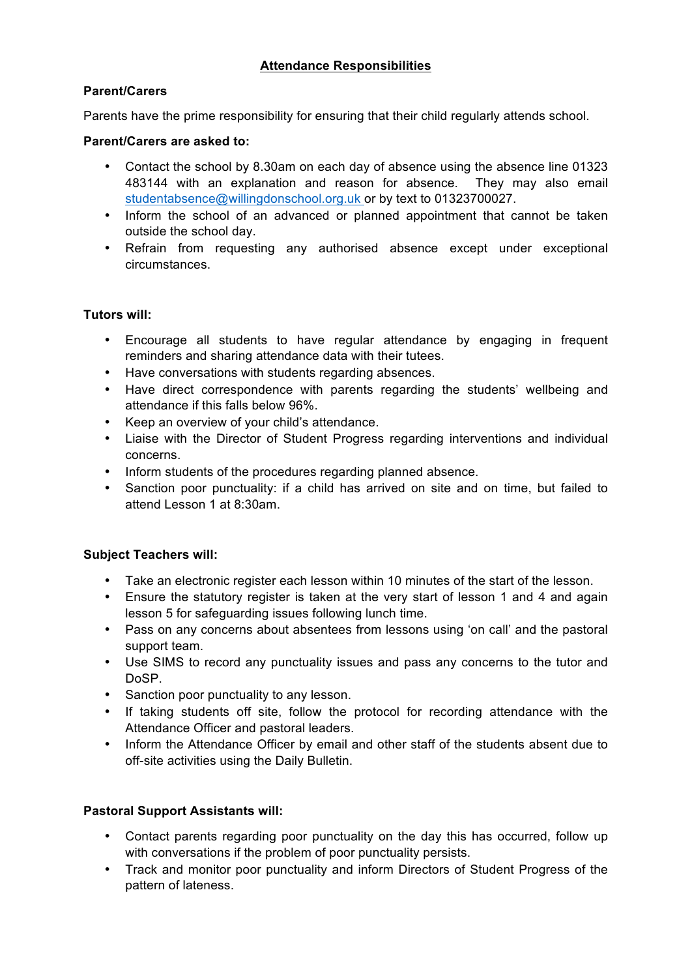## **Attendance Responsibilities**

## **Parent/Carers**

Parents have the prime responsibility for ensuring that their child regularly attends school.

## **Parent/Carers are asked to:**

- Contact the school by 8.30am on each day of absence using the absence line 01323 483144 with an explanation and reason for absence. They may also email studentabsence@willingdonschool.org.uk or by text to 01323700027.
- Inform the school of an advanced or planned appointment that cannot be taken outside the school day.
- Refrain from requesting any authorised absence except under exceptional circumstances.

## **Tutors will:**

- Encourage all students to have regular attendance by engaging in frequent reminders and sharing attendance data with their tutees.
- Have conversations with students regarding absences.
- Have direct correspondence with parents regarding the students' wellbeing and attendance if this falls below 96%.
- Keep an overview of your child's attendance.
- Liaise with the Director of Student Progress regarding interventions and individual concerns.
- Inform students of the procedures regarding planned absence.
- Sanction poor punctuality: if a child has arrived on site and on time, but failed to attend Lesson 1 at 8:30am.

## **Subject Teachers will:**

- Take an electronic register each lesson within 10 minutes of the start of the lesson.
- Ensure the statutory register is taken at the very start of lesson 1 and 4 and again lesson 5 for safeguarding issues following lunch time.
- Pass on any concerns about absentees from lessons using 'on call' and the pastoral support team.
- Use SIMS to record any punctuality issues and pass any concerns to the tutor and DoSP.
- Sanction poor punctuality to any lesson.
- If taking students off site, follow the protocol for recording attendance with the Attendance Officer and pastoral leaders.
- Inform the Attendance Officer by email and other staff of the students absent due to off-site activities using the Daily Bulletin.

## **Pastoral Support Assistants will:**

- Contact parents regarding poor punctuality on the day this has occurred, follow up with conversations if the problem of poor punctuality persists.
- Track and monitor poor punctuality and inform Directors of Student Progress of the pattern of lateness.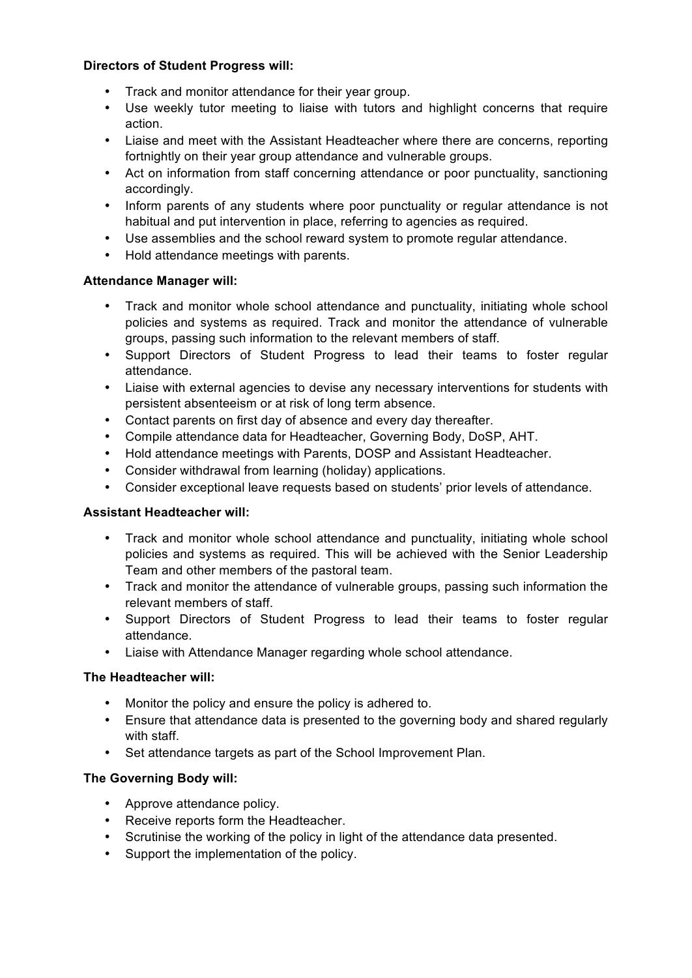## **Directors of Student Progress will:**

- Track and monitor attendance for their year group.
- Use weekly tutor meeting to liaise with tutors and highlight concerns that require action.
- Liaise and meet with the Assistant Headteacher where there are concerns, reporting fortnightly on their year group attendance and vulnerable groups.
- Act on information from staff concerning attendance or poor punctuality, sanctioning accordingly.
- Inform parents of any students where poor punctuality or regular attendance is not habitual and put intervention in place, referring to agencies as required.
- Use assemblies and the school reward system to promote regular attendance.
- Hold attendance meetings with parents.

## **Attendance Manager will:**

- Track and monitor whole school attendance and punctuality, initiating whole school policies and systems as required. Track and monitor the attendance of vulnerable groups, passing such information to the relevant members of staff.
- Support Directors of Student Progress to lead their teams to foster regular attendance.
- Liaise with external agencies to devise any necessary interventions for students with persistent absenteeism or at risk of long term absence.
- Contact parents on first day of absence and every day thereafter.
- Compile attendance data for Headteacher, Governing Body, DoSP, AHT.
- Hold attendance meetings with Parents, DOSP and Assistant Headteacher.
- Consider withdrawal from learning (holiday) applications.
- Consider exceptional leave requests based on students' prior levels of attendance.

## **Assistant Headteacher will:**

- Track and monitor whole school attendance and punctuality, initiating whole school policies and systems as required. This will be achieved with the Senior Leadership Team and other members of the pastoral team.
- Track and monitor the attendance of vulnerable groups, passing such information the relevant members of staff.
- Support Directors of Student Progress to lead their teams to foster regular attendance.
- Liaise with Attendance Manager regarding whole school attendance.

## **The Headteacher will:**

- Monitor the policy and ensure the policy is adhered to.
- Ensure that attendance data is presented to the governing body and shared regularly with staff.
- Set attendance targets as part of the School Improvement Plan.

## **The Governing Body will:**

- Approve attendance policy.
- Receive reports form the Headteacher.
- Scrutinise the working of the policy in light of the attendance data presented.
- Support the implementation of the policy.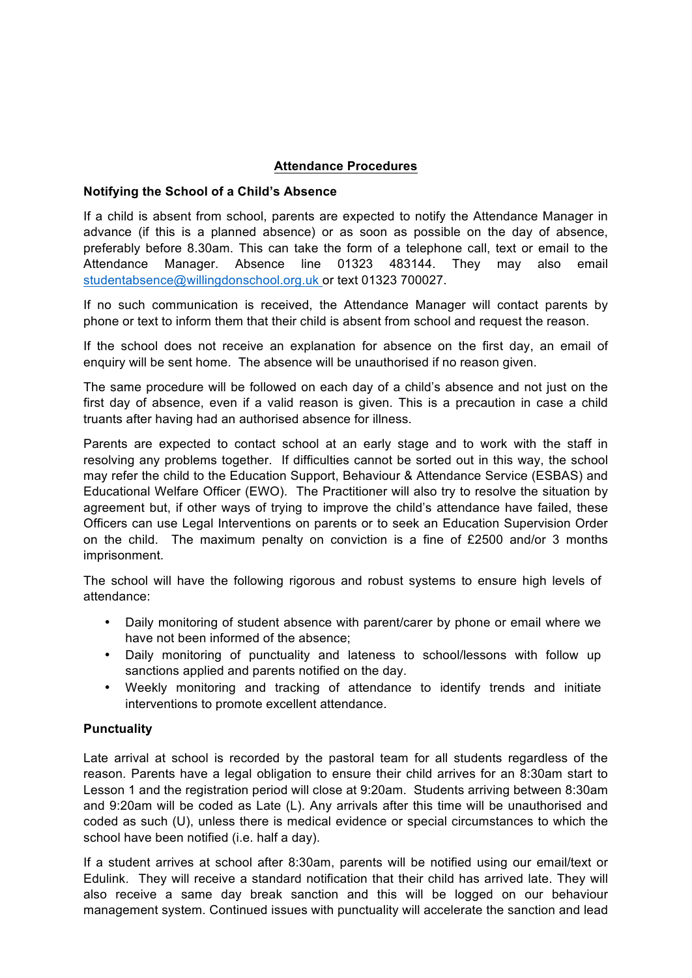#### **Attendance Procedures**

#### **Notifying the School of a Child's Absence**

If a child is absent from school, parents are expected to notify the Attendance Manager in advance (if this is a planned absence) or as soon as possible on the day of absence, preferably before 8.30am. This can take the form of a telephone call, text or email to the Attendance Manager. Absence line 01323 483144. They may also email studentabsence@willingdonschool.org.uk or text 01323 700027.

If no such communication is received, the Attendance Manager will contact parents by phone or text to inform them that their child is absent from school and request the reason.

If the school does not receive an explanation for absence on the first day, an email of enquiry will be sent home. The absence will be unauthorised if no reason given.

The same procedure will be followed on each day of a child's absence and not just on the first day of absence, even if a valid reason is given. This is a precaution in case a child truants after having had an authorised absence for illness.

Parents are expected to contact school at an early stage and to work with the staff in resolving any problems together. If difficulties cannot be sorted out in this way, the school may refer the child to the Education Support, Behaviour & Attendance Service (ESBAS) and Educational Welfare Officer (EWO). The Practitioner will also try to resolve the situation by agreement but, if other ways of trying to improve the child's attendance have failed, these Officers can use Legal Interventions on parents or to seek an Education Supervision Order on the child. The maximum penalty on conviction is a fine of £2500 and/or 3 months imprisonment.

The school will have the following rigorous and robust systems to ensure high levels of attendance:

- Daily monitoring of student absence with parent/carer by phone or email where we have not been informed of the absence;
- Daily monitoring of punctuality and lateness to school/lessons with follow up sanctions applied and parents notified on the day.
- Weekly monitoring and tracking of attendance to identify trends and initiate interventions to promote excellent attendance.

#### **Punctuality**

Late arrival at school is recorded by the pastoral team for all students regardless of the reason. Parents have a legal obligation to ensure their child arrives for an 8:30am start to Lesson 1 and the registration period will close at 9:20am. Students arriving between 8:30am and 9:20am will be coded as Late (L). Any arrivals after this time will be unauthorised and coded as such (U), unless there is medical evidence or special circumstances to which the school have been notified (i.e. half a day).

If a student arrives at school after 8:30am, parents will be notified using our email/text or Edulink. They will receive a standard notification that their child has arrived late. They will also receive a same day break sanction and this will be logged on our behaviour management system. Continued issues with punctuality will accelerate the sanction and lead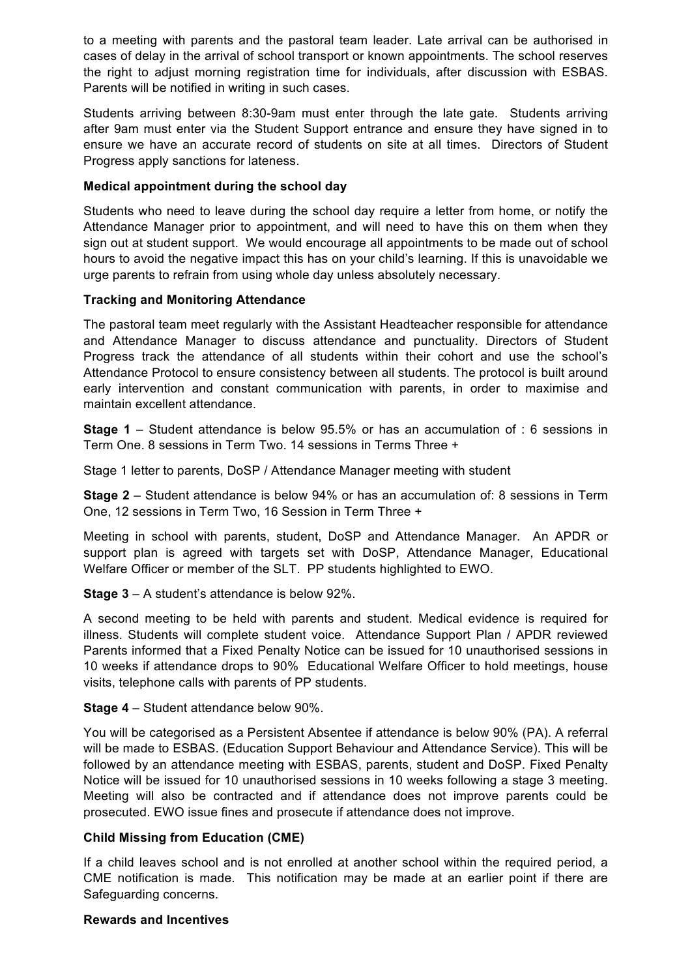to a meeting with parents and the pastoral team leader. Late arrival can be authorised in cases of delay in the arrival of school transport or known appointments. The school reserves the right to adjust morning registration time for individuals, after discussion with ESBAS. Parents will be notified in writing in such cases.

Students arriving between 8:30-9am must enter through the late gate. Students arriving after 9am must enter via the Student Support entrance and ensure they have signed in to ensure we have an accurate record of students on site at all times. Directors of Student Progress apply sanctions for lateness.

## **Medical appointment during the school day**

Students who need to leave during the school day require a letter from home, or notify the Attendance Manager prior to appointment, and will need to have this on them when they sign out at student support. We would encourage all appointments to be made out of school hours to avoid the negative impact this has on your child's learning. If this is unavoidable we urge parents to refrain from using whole day unless absolutely necessary.

## **Tracking and Monitoring Attendance**

The pastoral team meet regularly with the Assistant Headteacher responsible for attendance and Attendance Manager to discuss attendance and punctuality. Directors of Student Progress track the attendance of all students within their cohort and use the school's Attendance Protocol to ensure consistency between all students. The protocol is built around early intervention and constant communication with parents, in order to maximise and maintain excellent attendance.

**Stage 1** – Student attendance is below 95.5% or has an accumulation of : 6 sessions in Term One. 8 sessions in Term Two. 14 sessions in Terms Three +

Stage 1 letter to parents, DoSP / Attendance Manager meeting with student

**Stage 2** – Student attendance is below 94% or has an accumulation of: 8 sessions in Term One, 12 sessions in Term Two, 16 Session in Term Three +

Meeting in school with parents, student, DoSP and Attendance Manager. An APDR or support plan is agreed with targets set with DoSP, Attendance Manager, Educational Welfare Officer or member of the SLT. PP students highlighted to EWO.

**Stage 3** – A student's attendance is below 92%.

A second meeting to be held with parents and student. Medical evidence is required for illness. Students will complete student voice. Attendance Support Plan / APDR reviewed Parents informed that a Fixed Penalty Notice can be issued for 10 unauthorised sessions in 10 weeks if attendance drops to 90% Educational Welfare Officer to hold meetings, house visits, telephone calls with parents of PP students.

#### **Stage 4** – Student attendance below 90%.

You will be categorised as a Persistent Absentee if attendance is below 90% (PA). A referral will be made to ESBAS. (Education Support Behaviour and Attendance Service). This will be followed by an attendance meeting with ESBAS, parents, student and DoSP. Fixed Penalty Notice will be issued for 10 unauthorised sessions in 10 weeks following a stage 3 meeting. Meeting will also be contracted and if attendance does not improve parents could be prosecuted. EWO issue fines and prosecute if attendance does not improve.

## **Child Missing from Education (CME)**

If a child leaves school and is not enrolled at another school within the required period, a CME notification is made. This notification may be made at an earlier point if there are Safeguarding concerns.

#### **Rewards and Incentives**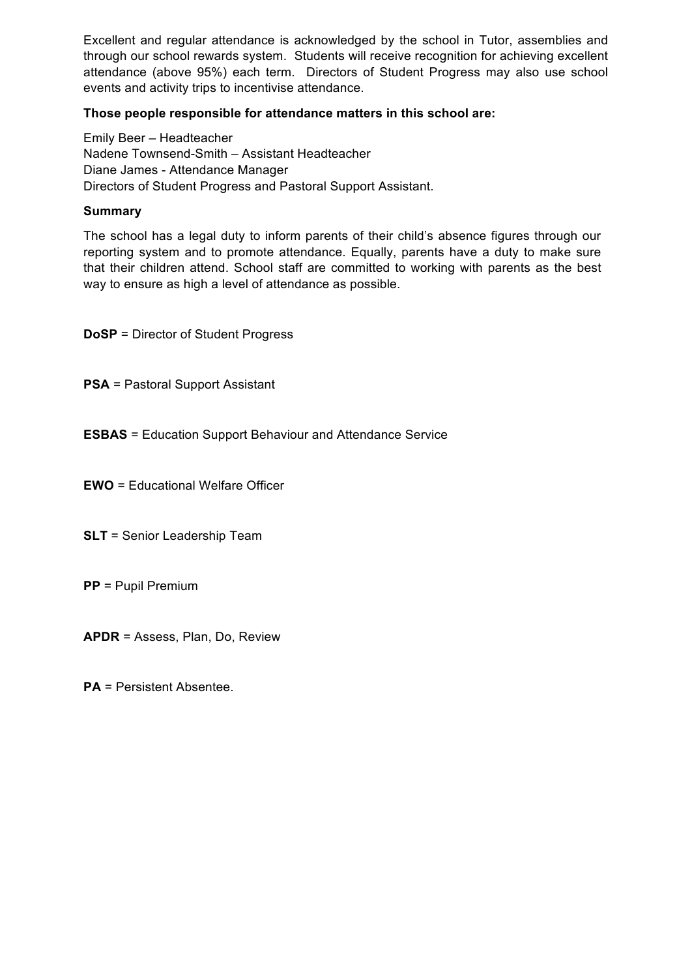Excellent and regular attendance is acknowledged by the school in Tutor, assemblies and through our school rewards system. Students will receive recognition for achieving excellent attendance (above 95%) each term. Directors of Student Progress may also use school events and activity trips to incentivise attendance.

#### **Those people responsible for attendance matters in this school are:**

Emily Beer – Headteacher Nadene Townsend-Smith – Assistant Headteacher Diane James - Attendance Manager Directors of Student Progress and Pastoral Support Assistant.

#### **Summary**

The school has a legal duty to inform parents of their child's absence figures through our reporting system and to promote attendance. Equally, parents have a duty to make sure that their children attend. School staff are committed to working with parents as the best way to ensure as high a level of attendance as possible.

**DoSP** = Director of Student Progress

**PSA** = Pastoral Support Assistant

**ESBAS** = Education Support Behaviour and Attendance Service

**EWO** = Educational Welfare Officer

**SLT** = Senior Leadership Team

**PP** = Pupil Premium

**APDR** = Assess, Plan, Do, Review

**PA** = Persistent Absentee.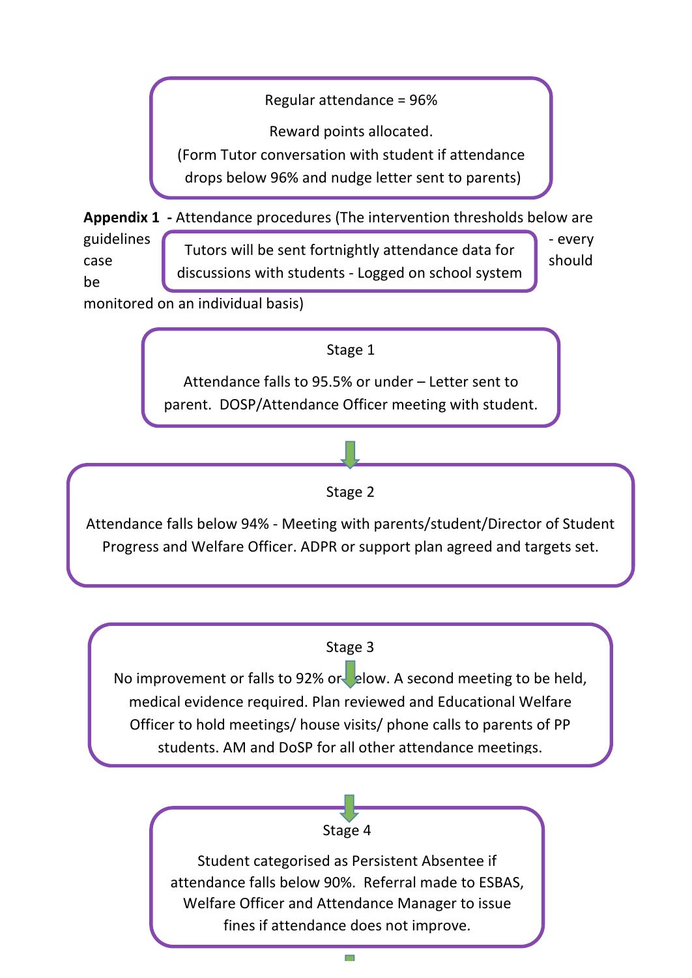Regular attendance =  $96%$ 

Reward points allocated.

(Form Tutor conversation with student if attendance

drops below 96% and nudge letter sent to parents)

**Appendix 1** - Attendance procedures (The intervention thresholds below are

be 

guidelines - every case should Tutors will be sent fortnightly attendance data for discussions with students - Logged on school system

monitored on an individual basis)

Stage 1

Attendance falls to 95.5% or under – Letter sent to parent. DOSP/Attendance Officer meeting with student.

# Stage 2

Attendance falls below 94% - Meeting with parents/student/Director of Student Progress and Welfare Officer. ADPR or support plan agreed and targets set.

## Stage 3

No improvement or falls to 92% or allow. A second meeting to be held, medical evidence required. Plan reviewed and Educational Welfare Officer to hold meetings/ house visits/ phone calls to parents of PP students. AM and DoSP for all other attendance meetings.

> Stage 4 Student categorised as Persistent Absentee if attendance falls below 90%. Referral made to ESBAS, Welfare Officer and Attendance Manager to issue fines if attendance does not improve.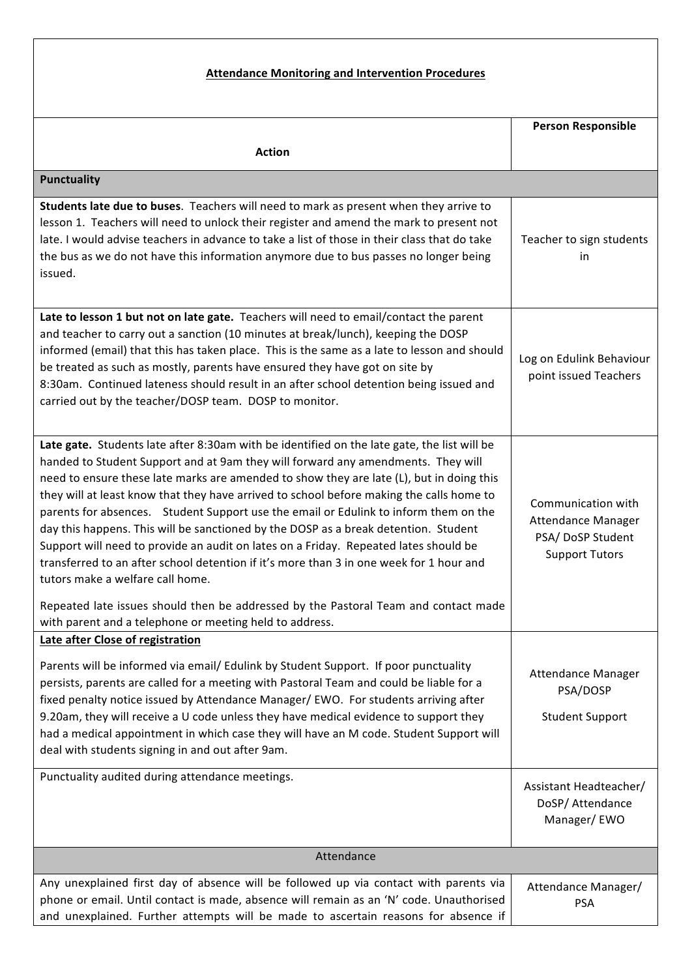# **Attendance Monitoring and Intervention Procedures**

|                                                                                                                                                                                                                                                                                                                                                                                                                                                                                                                                                                                                                                                                                                                                                                                                                                                                                                                                 | <b>Person Responsible</b>                                                             |  |
|---------------------------------------------------------------------------------------------------------------------------------------------------------------------------------------------------------------------------------------------------------------------------------------------------------------------------------------------------------------------------------------------------------------------------------------------------------------------------------------------------------------------------------------------------------------------------------------------------------------------------------------------------------------------------------------------------------------------------------------------------------------------------------------------------------------------------------------------------------------------------------------------------------------------------------|---------------------------------------------------------------------------------------|--|
| <b>Action</b>                                                                                                                                                                                                                                                                                                                                                                                                                                                                                                                                                                                                                                                                                                                                                                                                                                                                                                                   |                                                                                       |  |
| <b>Punctuality</b>                                                                                                                                                                                                                                                                                                                                                                                                                                                                                                                                                                                                                                                                                                                                                                                                                                                                                                              |                                                                                       |  |
| Students late due to buses. Teachers will need to mark as present when they arrive to<br>lesson 1. Teachers will need to unlock their register and amend the mark to present not<br>late. I would advise teachers in advance to take a list of those in their class that do take<br>the bus as we do not have this information anymore due to bus passes no longer being<br>issued.<br>Late to lesson 1 but not on late gate. Teachers will need to email/contact the parent                                                                                                                                                                                                                                                                                                                                                                                                                                                    | Teacher to sign students<br>in                                                        |  |
| and teacher to carry out a sanction (10 minutes at break/lunch), keeping the DOSP<br>informed (email) that this has taken place. This is the same as a late to lesson and should<br>be treated as such as mostly, parents have ensured they have got on site by<br>8:30am. Continued lateness should result in an after school detention being issued and<br>carried out by the teacher/DOSP team. DOSP to monitor.                                                                                                                                                                                                                                                                                                                                                                                                                                                                                                             | Log on Edulink Behaviour<br>point issued Teachers                                     |  |
| Late gate. Students late after 8:30am with be identified on the late gate, the list will be<br>handed to Student Support and at 9am they will forward any amendments. They will<br>need to ensure these late marks are amended to show they are late (L), but in doing this<br>they will at least know that they have arrived to school before making the calls home to<br>parents for absences. Student Support use the email or Edulink to inform them on the<br>day this happens. This will be sanctioned by the DOSP as a break detention. Student<br>Support will need to provide an audit on lates on a Friday. Repeated lates should be<br>transferred to an after school detention if it's more than 3 in one week for 1 hour and<br>tutors make a welfare call home.<br>Repeated late issues should then be addressed by the Pastoral Team and contact made<br>with parent and a telephone or meeting held to address. | Communication with<br>Attendance Manager<br>PSA/DoSP Student<br><b>Support Tutors</b> |  |
| Late after Close of registration<br>Parents will be informed via email/ Edulink by Student Support. If poor punctuality<br>persists, parents are called for a meeting with Pastoral Team and could be liable for a<br>fixed penalty notice issued by Attendance Manager/ EWO. For students arriving after<br>9.20am, they will receive a U code unless they have medical evidence to support they<br>had a medical appointment in which case they will have an M code. Student Support will<br>deal with students signing in and out after 9am.<br>Punctuality audited during attendance meetings.                                                                                                                                                                                                                                                                                                                              | Attendance Manager<br>PSA/DOSP<br><b>Student Support</b>                              |  |
|                                                                                                                                                                                                                                                                                                                                                                                                                                                                                                                                                                                                                                                                                                                                                                                                                                                                                                                                 | Assistant Headteacher/<br>DoSP/ Attendance<br>Manager/EWO                             |  |
| Attendance                                                                                                                                                                                                                                                                                                                                                                                                                                                                                                                                                                                                                                                                                                                                                                                                                                                                                                                      |                                                                                       |  |
| Any unexplained first day of absence will be followed up via contact with parents via<br>phone or email. Until contact is made, absence will remain as an 'N' code. Unauthorised<br>and unexplained. Further attempts will be made to ascertain reasons for absence if                                                                                                                                                                                                                                                                                                                                                                                                                                                                                                                                                                                                                                                          | Attendance Manager/<br><b>PSA</b>                                                     |  |